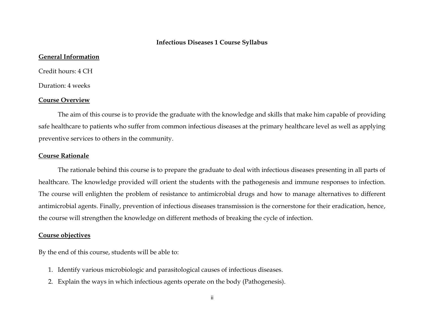#### **Infectious Diseases 1 Course Syllabus**

# **General Information**

Credit hours: 4 CH

Duration: 4 weeks

#### **Course Overview**

The aim of this course is to provide the graduate with the knowledge and skills that make him capable of providing safe healthcare to patients who suffer from common infectious diseases at the primary healthcare level as well as applying preventive services to others in the community.

#### **Course Rationale**

The rationale behind this course is to prepare the graduate to deal with infectious diseases presenting in all parts of healthcare. The knowledge provided will orient the students with the pathogenesis and immune responses to infection. The course will enlighten the problem of resistance to antimicrobial drugs and how to manage alternatives to different antimicrobial agents. Finally, prevention of infectious diseases transmission is the cornerstone for their eradication, hence, the course will strengthen the knowledge on different methods of breaking the cycle of infection.

# **Course objectives**

By the end of this course, students will be able to:

- 1. Identify various microbiologic and parasitological causes of infectious diseases.
- 2. Explain the ways in which infectious agents operate on the body (Pathogenesis).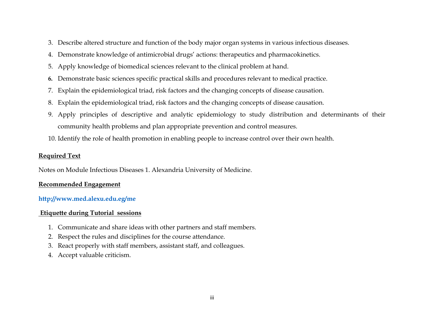- 3. Describe altered structure and function of the body major organ systems in various infectious diseases.
- 4. Demonstrate knowledge of antimicrobial drugs' actions: therapeutics and pharmacokinetics.
- 5. Apply knowledge of biomedical sciences relevant to the clinical problem at hand.
- **6.** Demonstrate basic sciences specific practical skills and procedures relevant to medical practice.
- 7. Explain the epidemiological triad, risk factors and the changing concepts of disease causation.
- 8. Explain the epidemiological triad, risk factors and the changing concepts of disease causation.
- 9. Apply principles of descriptive and analytic epidemiology to study distribution and determinants of their community health problems and plan appropriate prevention and control measures.
- 10. Identify the role of health promotion in enabling people to increase control over their own health.

# **Required Text**

Notes on Module Infectious Diseases 1. Alexandria University of Medicine.

# **Recommended Engagement**

# **<http://www.med.alexu.edu.eg/me>**

# **Etiquette during Tutorial sessions**

- 1. Communicate and share ideas with other partners and staff members.
- 2. Respect the rules and disciplines for the course attendance.
- 3. React properly with staff members, assistant staff, and colleagues.
- 4. Accept valuable criticism.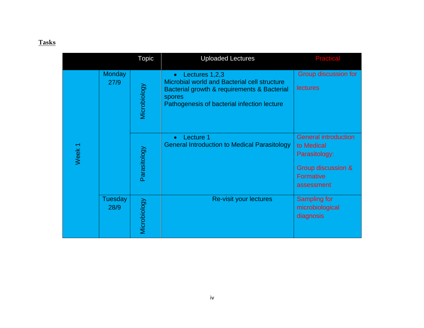# **Tasks**

|  |                   |                        | <b>Topic</b> | <b>Uploaded Lectures</b>                                                                                                                                               | <b>Practical</b>                                                                                            |
|--|-------------------|------------------------|--------------|------------------------------------------------------------------------------------------------------------------------------------------------------------------------|-------------------------------------------------------------------------------------------------------------|
|  |                   | <b>Monday</b><br>27/9  | Microbiology | Lectures 1,2,3<br>Microbial world and Bacterial cell structure<br>Bacterial growth & requirements & Bacterial<br>spores<br>Pathogenesis of bacterial infection lecture | Group discussion for<br>lectures                                                                            |
|  | Week <sub>1</sub> |                        | Parasitology | Lecture 1<br>$\bullet$<br><b>General Introduction to Medical Parasitology</b>                                                                                          | <b>General introduction</b><br>to Medical<br>Parasitology:<br>Group discussion &<br>Formative<br>assessment |
|  |                   | <b>Tuesday</b><br>28/9 | Microbiology | Re-visit your lectures                                                                                                                                                 | <b>Sampling for</b><br>microbiological<br>diagnosis                                                         |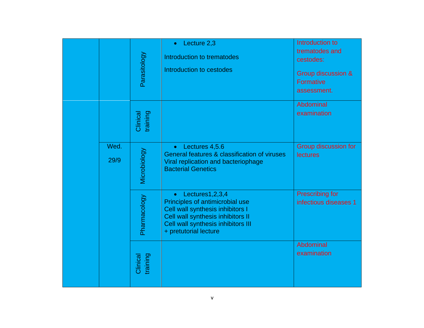|  |              | Parasitology         | Lecture 2,3<br>$\bullet$<br>Introduction to trematodes<br>Introduction to cestodes                                                                                                                   | Introduction to<br>trematodes and<br>cestodes:<br>Group discussion &<br><b>Formative</b><br>assessment. |
|--|--------------|----------------------|------------------------------------------------------------------------------------------------------------------------------------------------------------------------------------------------------|---------------------------------------------------------------------------------------------------------|
|  |              | training<br>Clinical |                                                                                                                                                                                                      | Abdominal<br>examination                                                                                |
|  | Wed.<br>29/9 | Microbiology         | Lectures 4,5.6<br>$\bullet$<br>General features & classification of viruses<br>Viral replication and bacteriophage<br><b>Bacterial Genetics</b>                                                      | Group discussion for<br><b>lectures</b>                                                                 |
|  |              | Pharmacology         | $\bullet$ Lectures1,2,3,4<br>Principles of antimicrobial use<br>Cell wall synthesis inhibitors I<br>Cell wall synthesis inhibitors II<br>Cell wall synthesis inhibitors III<br>+ pretutorial lecture | <b>Prescribing for</b><br>infectious diseases 1                                                         |
|  |              | Clinical<br>training |                                                                                                                                                                                                      | Abdominal<br>examination                                                                                |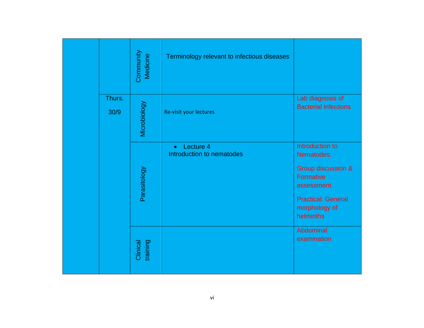|                | Community<br>Medicine | Terminology relevant to infectious diseases         |                                                                                                                                                   |
|----------------|-----------------------|-----------------------------------------------------|---------------------------------------------------------------------------------------------------------------------------------------------------|
| Thurs.<br>30/9 | Microbiology          | Re-visit your lectures                              | Lab diagnosis of<br><b>Bacterial infections</b>                                                                                                   |
|                | Parasitology          | Lecture 4<br>$\bullet$<br>Introduction to nematodes | Introduction to<br>Nematodes:<br>Group discussion &<br><b>Formative</b><br>assessment.<br><b>Practical: General</b><br>morphology of<br>helminths |
|                | training<br>Clinical  |                                                     | Abdominal<br>examination                                                                                                                          |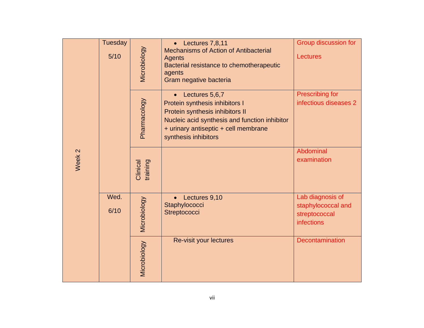|                   | <b>Tuesday</b><br>$5/10$ | Microbiology         | Lectures 7,8,11<br><b>Mechanisms of Action of Antibacterial</b><br>Agents<br>Bacterial resistance to chemotherapeutic<br>agents<br>Gram negative bacteria                                            | Group discussion for<br><b>Lectures</b>                                      |
|-------------------|--------------------------|----------------------|------------------------------------------------------------------------------------------------------------------------------------------------------------------------------------------------------|------------------------------------------------------------------------------|
|                   |                          | Pharmacology         | Lectures 5,6,7<br>Protein synthesis inhibitors I<br>Protein synthesis inhibitors II<br>Nucleic acid synthesis and function inhibitor<br>+ urinary antiseptic + cell membrane<br>synthesis inhibitors | <b>Prescribing for</b><br>infectious diseases 2                              |
| Week <sub>2</sub> |                          | Clinical<br>training |                                                                                                                                                                                                      | Abdominal<br>examination                                                     |
|                   | Wed.<br>6/10             | Microbiology         | • Lectures 9,10<br>Staphylococci<br>Streptococci                                                                                                                                                     | Lab diagnosis of<br>staphylococcal and<br>streptococcal<br><b>infections</b> |
|                   |                          | Microbiology         | Re-visit your lectures                                                                                                                                                                               | Decontamination                                                              |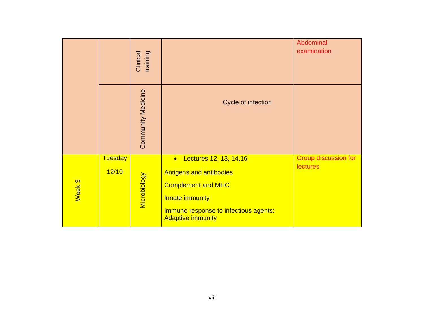|                   |                         | training<br>Clinical      |                                                                                                                                                                                             | Abdominal<br>examination                       |
|-------------------|-------------------------|---------------------------|---------------------------------------------------------------------------------------------------------------------------------------------------------------------------------------------|------------------------------------------------|
|                   |                         | <b>Community Medicine</b> | Cycle of infection                                                                                                                                                                          |                                                |
| Week <sub>3</sub> | <b>Tuesday</b><br>12/10 | <b>Microbiology</b>       | Lectures 12, 13, 14, 16<br>$\bullet$<br><b>Antigens and antibodies</b><br><b>Complement and MHC</b><br>Innate immunity<br>Immune response to infectious agents:<br><b>Adaptive immunity</b> | <b>Group discussion for</b><br><b>lectures</b> |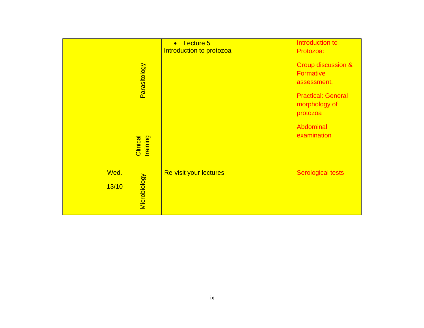|               |                      | Lecture 5<br>$\bullet$<br>Introduction to protozoa | Introduction to<br>Protozoa:                                                                                               |
|---------------|----------------------|----------------------------------------------------|----------------------------------------------------------------------------------------------------------------------------|
|               | Parasitology         |                                                    | <b>Group discussion &amp;</b><br><b>Formative</b><br>assessment.<br><b>Practical: General</b><br>morphology of<br>protozoa |
|               | training<br>Clinical |                                                    | Abdominal<br>examination                                                                                                   |
| Wed.<br>13/10 | <b>Microbiology</b>  | <b>Re-visit your lectures</b>                      | <b>Serological tests</b>                                                                                                   |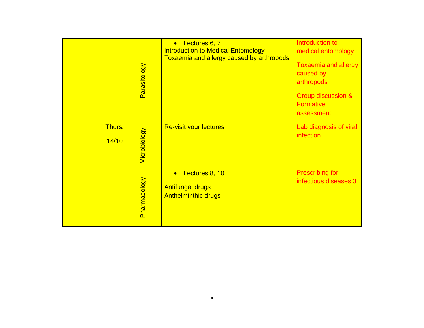|                 | Parasitology | Lectures 6, 7<br>$\bullet$<br><b>Introduction to Medical Entomology</b><br>Toxaemia and allergy caused by arthropods | Introduction to<br>medical entomology<br><b>Toxaemia and allergy</b><br>caused by<br>arthropods<br><b>Group discussion &amp;</b><br><b>Formative</b><br>assessment |
|-----------------|--------------|----------------------------------------------------------------------------------------------------------------------|--------------------------------------------------------------------------------------------------------------------------------------------------------------------|
| Thurs.<br>14/10 | Microbiology | <b>Re-visit your lectures</b>                                                                                        | Lab diagnosis of viral<br>infection                                                                                                                                |
|                 | Pharmacology | Lectures 8, 10<br>$\bullet$<br><b>Antifungal drugs</b><br><b>Anthelminthic drugs</b>                                 | <b>Prescribing for</b><br>infectious diseases 3                                                                                                                    |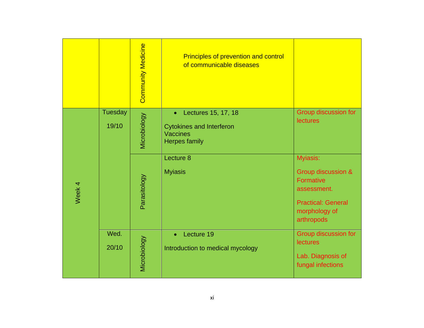|                   |                         | <b>Community Medicine</b> | <b>Principles of prevention and control</b><br>of communicable diseases                                        |                                                                                                                               |
|-------------------|-------------------------|---------------------------|----------------------------------------------------------------------------------------------------------------|-------------------------------------------------------------------------------------------------------------------------------|
|                   | <b>Tuesday</b><br>19/10 | Microbiology              | Lectures 15, 17, 18<br>$\bullet$<br><b>Cytokines and Interferon</b><br><b>Vaccines</b><br><b>Herpes family</b> | Group discussion for<br><b>lectures</b>                                                                                       |
| Week <sub>4</sub> |                         | Parasitology              | Lecture 8<br><b>Myiasis</b>                                                                                    | Myiasis:<br>Group discussion &<br><b>Formative</b><br>assessment.<br><b>Practical: General</b><br>morphology of<br>arthropods |
|                   | Wed.<br>20/10           | Microbiology              | Lecture 19<br>$\bullet$<br>Introduction to medical mycology                                                    | Group discussion for<br><b>lectures</b><br>Lab. Diagnosis of<br>fungal infections                                             |